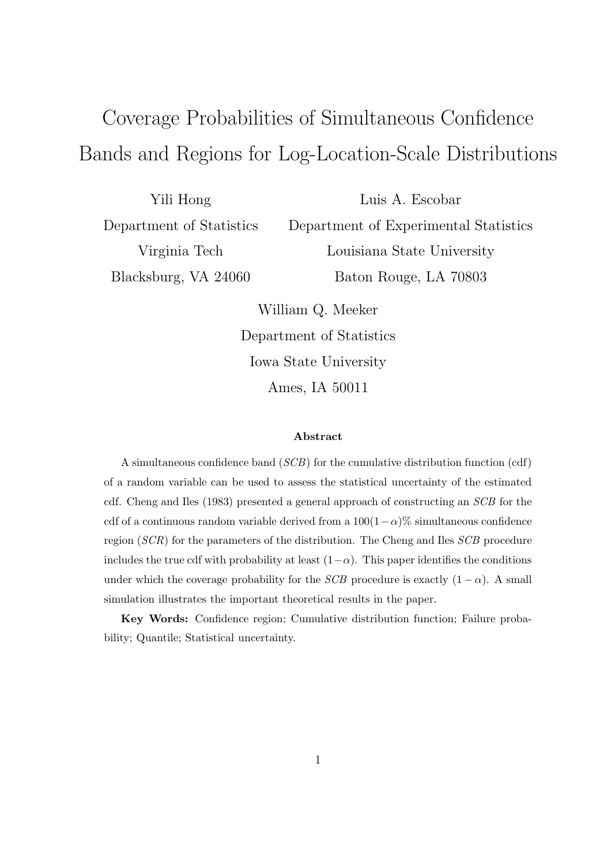# Coverage Probabilities of Simultaneous Confidence Bands and Regions for Log-Location-Scale Distributions

Yili Hong Department of Statistics Virginia Tech Blacksburg, VA 24060

Luis A. Escobar Department of Experimental Statistics Louisiana State University Baton Rouge, LA 70803

William Q. Meeker Department of Statistics Iowa State University Ames, IA 50011

#### Abstract

A simultaneous confidence band (SCB) for the cumulative distribution function (cdf) of a random variable can be used to assess the statistical uncertainty of the estimated cdf. Cheng and Iles (1983) presented a general approach of constructing an SCB for the cdf of a continuous random variable derived from a  $100(1-\alpha)\%$  simultaneous confidence region (SCR) for the parameters of the distribution. The Cheng and Iles SCB procedure includes the true cdf with probability at least  $(1-\alpha)$ . This paper identifies the conditions under which the coverage probability for the *SCB* procedure is exactly  $(1 - \alpha)$ . A small simulation illustrates the important theoretical results in the paper.

Key Words: Confidence region; Cumulative distribution function; Failure probability; Quantile; Statistical uncertainty.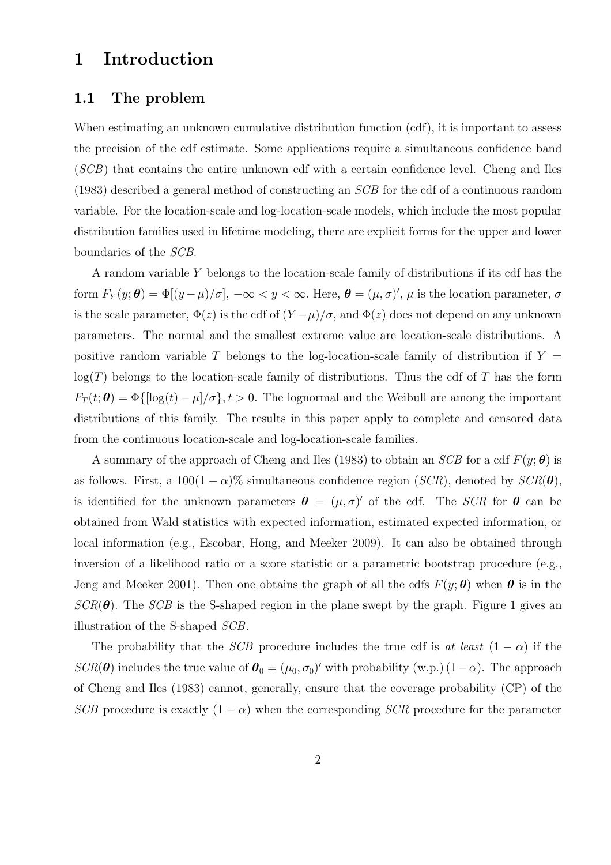# 1 Introduction

#### 1.1 The problem

When estimating an unknown cumulative distribution function (cdf), it is important to assess the precision of the cdf estimate. Some applications require a simultaneous confidence band (SCB) that contains the entire unknown cdf with a certain confidence level. Cheng and Iles (1983) described a general method of constructing an SCB for the cdf of a continuous random variable. For the location-scale and log-location-scale models, which include the most popular distribution families used in lifetime modeling, there are explicit forms for the upper and lower boundaries of the SCB.

A random variable Y belongs to the location-scale family of distributions if its cdf has the form  $F_Y(y; \theta) = \Phi[(y-\mu)/\sigma], -\infty < y < \infty$ . Here,  $\theta = (\mu, \sigma)'$ ,  $\mu$  is the location parameter,  $\sigma$ is the scale parameter,  $\Phi(z)$  is the cdf of  $(Y-\mu)/\sigma$ , and  $\Phi(z)$  does not depend on any unknown parameters. The normal and the smallest extreme value are location-scale distributions. A positive random variable T belongs to the log-location-scale family of distribution if  $Y =$  $\log(T)$  belongs to the location-scale family of distributions. Thus the cdf of T has the form  $F_T(t; \theta) = \Phi\{[\log(t) - \mu]/\sigma\}, t > 0.$  The lognormal and the Weibull are among the important distributions of this family. The results in this paper apply to complete and censored data from the continuous location-scale and log-location-scale families.

A summary of the approach of Cheng and Iles (1983) to obtain an SCB for a cdf  $F(y; \theta)$  is as follows. First, a  $100(1 - \alpha)\%$  simultaneous confidence region (SCR), denoted by  $SCR(\theta)$ , is identified for the unknown parameters  $\theta = (\mu, \sigma)'$  of the cdf. The SCR for  $\theta$  can be obtained from Wald statistics with expected information, estimated expected information, or local information (e.g., Escobar, Hong, and Meeker 2009). It can also be obtained through inversion of a likelihood ratio or a score statistic or a parametric bootstrap procedure (e.g., Jeng and Meeker 2001). Then one obtains the graph of all the cdfs  $F(y; \theta)$  when  $\theta$  is in the  $SCR(\theta)$ . The SCB is the S-shaped region in the plane swept by the graph. Figure 1 gives an illustration of the S-shaped SCB.

The probability that the SCB procedure includes the true cdf is at least  $(1 - \alpha)$  if the  $SCR(\theta)$  includes the true value of  $\theta_0 = (\mu_0, \sigma_0)'$  with probability (w.p.)  $(1-\alpha)$ . The approach of Cheng and Iles (1983) cannot, generally, ensure that the coverage probability (CP) of the SCB procedure is exactly  $(1 - \alpha)$  when the corresponding SCR procedure for the parameter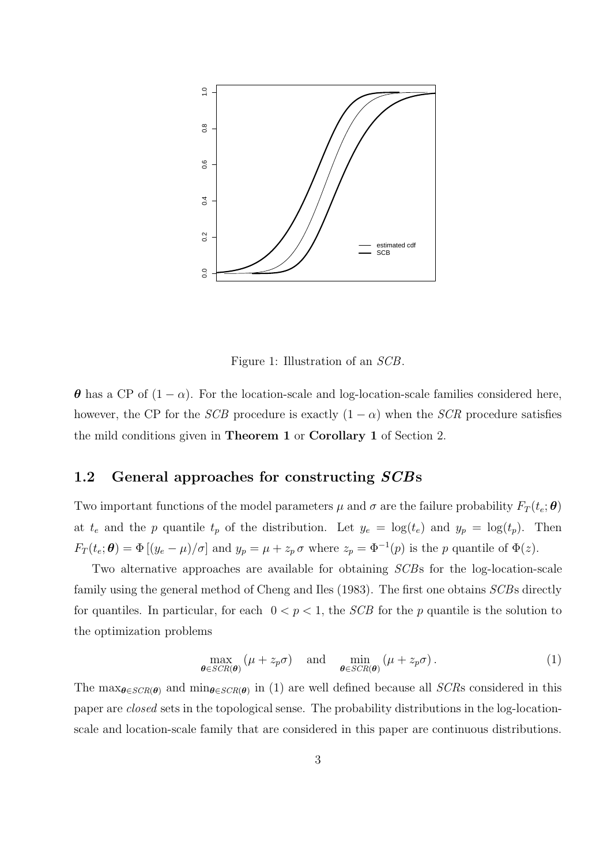

Figure 1: Illustration of an SCB.

 $\theta$  has a CP of  $(1 - \alpha)$ . For the location-scale and log-location-scale families considered here, however, the CP for the *SCB* procedure is exactly  $(1 - \alpha)$  when the *SCR* procedure satisfies the mild conditions given in Theorem 1 or Corollary 1 of Section 2.

#### 1.2 General approaches for constructing SCBs

Two important functions of the model parameters  $\mu$  and  $\sigma$  are the failure probability  $F_T(t_e; \theta)$ at  $t_e$  and the p quantile  $t_p$  of the distribution. Let  $y_e = \log(t_e)$  and  $y_p = \log(t_p)$ . Then  $F_T(t_e; \theta) = \Phi[(y_e - \mu)/\sigma]$  and  $y_p = \mu + z_p \sigma$  where  $z_p = \Phi^{-1}(p)$  is the p quantile of  $\Phi(z)$ .

Two alternative approaches are available for obtaining SCBs for the log-location-scale family using the general method of Cheng and Iles (1983). The first one obtains *SCB*s directly for quantiles. In particular, for each  $0 < p < 1$ , the *SCB* for the *p* quantile is the solution to the optimization problems

$$
\max_{\boldsymbol{\theta} \in \text{SCR}(\boldsymbol{\theta})} (\mu + z_p \sigma) \quad \text{and} \quad \min_{\boldsymbol{\theta} \in \text{SCR}(\boldsymbol{\theta})} (\mu + z_p \sigma). \tag{1}
$$

The  $\max_{\theta \in \text{SCR}(\theta)}$  and  $\min_{\theta \in \text{SCR}(\theta)}$  in (1) are well defined because all SCRs considered in this paper are closed sets in the topological sense. The probability distributions in the log-locationscale and location-scale family that are considered in this paper are continuous distributions.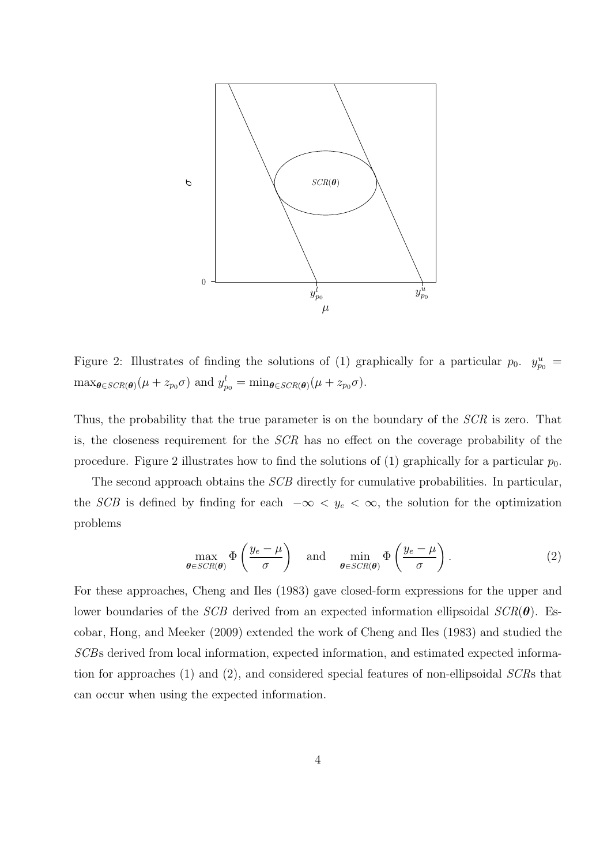

Figure 2: Illustrates of finding the solutions of (1) graphically for a particular  $p_0$ .  $y_{p_0}^u$  $\max_{\theta \in \text{SCR}(\theta)} (\mu + z_{p_0} \sigma)$  and  $y_{p_0}^l = \min_{\theta \in \text{SCR}(\theta)} (\mu + z_{p_0} \sigma)$ .

Thus, the probability that the true parameter is on the boundary of the SCR is zero. That is, the closeness requirement for the SCR has no effect on the coverage probability of the procedure. Figure 2 illustrates how to find the solutions of (1) graphically for a particular  $p_0$ .

The second approach obtains the *SCB* directly for cumulative probabilities. In particular, the SCB is defined by finding for each  $-\infty < y_e < \infty$ , the solution for the optimization problems

$$
\max_{\boldsymbol{\theta} \in SCR(\boldsymbol{\theta})} \Phi\left(\frac{y_e - \mu}{\sigma}\right) \quad \text{and} \quad \min_{\boldsymbol{\theta} \in SCR(\boldsymbol{\theta})} \Phi\left(\frac{y_e - \mu}{\sigma}\right). \tag{2}
$$

For these approaches, Cheng and Iles (1983) gave closed-form expressions for the upper and lower boundaries of the SCB derived from an expected information ellipsoidal  $SCR(\theta)$ . Escobar, Hong, and Meeker (2009) extended the work of Cheng and Iles (1983) and studied the SCBs derived from local information, expected information, and estimated expected information for approaches (1) and (2), and considered special features of non-ellipsoidal SCRs that can occur when using the expected information.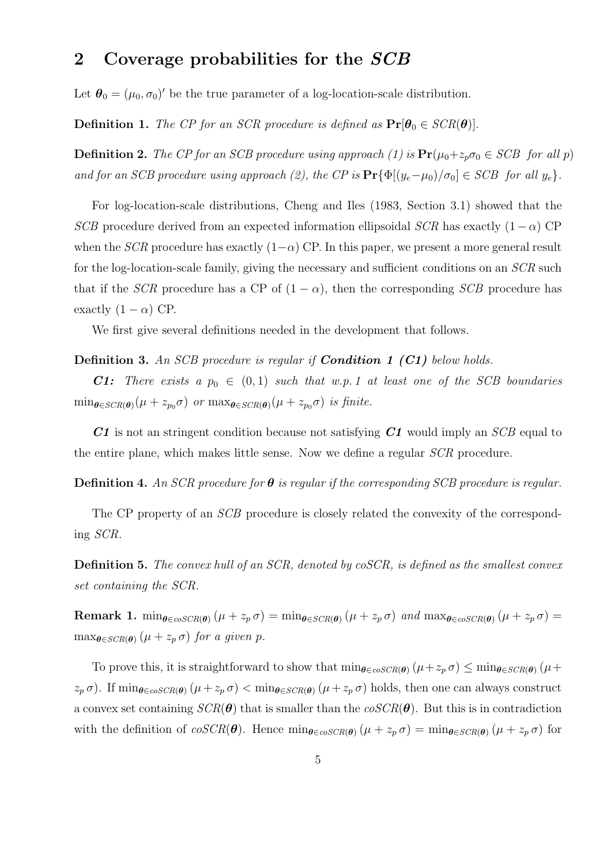# 2 Coverage probabilities for the SCB

Let  $\boldsymbol{\theta}_0 = (\mu_0, \sigma_0)'$  be the true parameter of a log-location-scale distribution.

**Definition 1.** The CP for an SCR procedure is defined as  $Pr[\theta_0 \in SCR(\theta)]$ .

**Definition 2.** The CP for an SCB procedure using approach (1) is  $Pr(\mu_0+z_p\sigma_0 \in SCB$  for all p) and for an SCB procedure using approach (2), the CP is  $Pr{\Phi[(y_e - \mu_0)/\sigma_0]} \in SCB$  for all  $y_e$ .

For log-location-scale distributions, Cheng and Iles (1983, Section 3.1) showed that the SCB procedure derived from an expected information ellipsoidal SCR has exactly  $(1 - \alpha)$  CP when the SCR procedure has exactly  $(1-\alpha)$  CP. In this paper, we present a more general result for the log-location-scale family, giving the necessary and sufficient conditions on an SCR such that if the SCR procedure has a CP of  $(1 - \alpha)$ , then the corresponding SCB procedure has exactly  $(1 - \alpha)$  CP.

We first give several definitions needed in the development that follows.

#### Definition 3. An SCB procedure is regular if **Condition 1 (C1)** below holds.

**C1:** There exists a  $p_0 \in (0, 1)$  such that w.p. 1 at least one of the SCB boundaries  $\min_{\theta \in SCR(\theta)} (\mu + z_{p_0} \sigma)$  or  $\max_{\theta \in SCR(\theta)} (\mu + z_{p_0} \sigma)$  is finite.

 $C1$  is not an stringent condition because not satisfying  $C1$  would imply an  $SCB$  equal to the entire plane, which makes little sense. Now we define a regular SCR procedure.

**Definition 4.** An SCR procedure for  $\theta$  is regular if the corresponding SCB procedure is regular.

The CP property of an *SCB* procedure is closely related the convexity of the corresponding SCR.

Definition 5. The convex hull of an SCR, denoted by coSCR, is defined as the smallest convex set containing the SCR.

Remark 1. min $_{\theta \in \cos CR(\theta)} (\mu + z_p \sigma) = \min_{\theta \in \sec R(\theta)} (\mu + z_p \sigma)$  and  $\max_{\theta \in \cos CR(\theta)} (\mu + z_p \sigma) =$  $\max_{\theta \in \text{SCR}(\theta)} (\mu + z_p \sigma)$  for a given p.

To prove this, it is straightforward to show that  $\min_{\theta \in \text{coSCR}(\theta)} (\mu + z_p \sigma) \leq \min_{\theta \in \text{SCR}(\theta)} (\mu + z_p \sigma)$  $(z_p \sigma)$ . If  $\min_{\theta \in \text{cosCR}(\theta)} (\mu + z_p \sigma) < \min_{\theta \in \text{SCR}(\theta)} (\mu + z_p \sigma)$  holds, then one can always construct a convex set containing  $SCR(\theta)$  that is smaller than the  $coSCR(\theta)$ . But this is in contradiction with the definition of  $\cos C R(\theta)$ . Hence  $\min_{\theta \in \cos C R(\theta)} (\mu + z_p \sigma) = \min_{\theta \in \sec R(\theta)} (\mu + z_p \sigma)$  for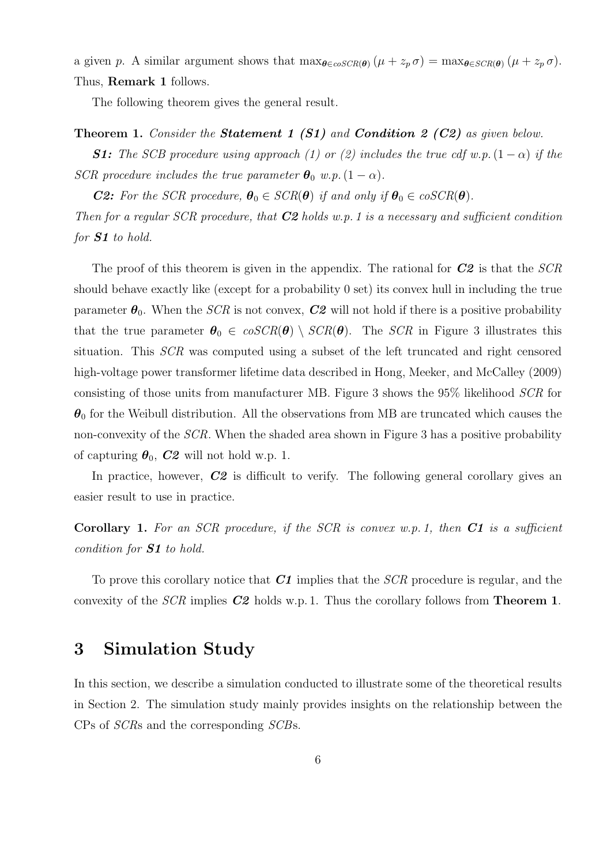a given p. A similar argument shows that  $\max_{\theta \in \text{coSCR}(\theta)} (\mu + z_p \sigma) = \max_{\theta \in \text{SCR}(\theta)} (\mu + z_p \sigma)$ . Thus, Remark 1 follows.

The following theorem gives the general result.

#### Theorem 1. Consider the **Statement 1 (S1)** and **Condition 2 (C2)** as given below.

**S1:** The SCB procedure using approach (1) or (2) includes the true cdf w.p.  $(1 - \alpha)$  if the SCR procedure includes the true parameter  $\theta_0$  w.p.  $(1 - \alpha)$ .

**C2:** For the SCR procedure,  $\theta_0 \in \text{SCR}(\theta)$  if and only if  $\theta_0 \in \text{coSCR}(\theta)$ .

Then for a regular SCR procedure, that  $C2$  holds w.p. 1 is a necessary and sufficient condition for S1 to hold.

The proof of this theorem is given in the appendix. The rational for  $C2$  is that the  $SCR$ should behave exactly like (except for a probability 0 set) its convex hull in including the true parameter  $\theta_0$ . When the *SCR* is not convex, **C2** will not hold if there is a positive probability that the true parameter  $\theta_0 \in \cos\theta$   $\setminus \sec\theta$ . The SCR in Figure 3 illustrates this situation. This SCR was computed using a subset of the left truncated and right censored high-voltage power transformer lifetime data described in Hong, Meeker, and McCalley (2009) consisting of those units from manufacturer MB. Figure 3 shows the 95% likelihood SCR for  $\theta_0$  for the Weibull distribution. All the observations from MB are truncated which causes the non-convexity of the SCR. When the shaded area shown in Figure 3 has a positive probability of capturing  $\theta_0$ ,  $C2$  will not hold w.p. 1.

In practice, however,  $C2$  is difficult to verify. The following general corollary gives an easier result to use in practice.

**Corollary 1.** For an SCR procedure, if the SCR is convex w.p. 1, then  $C1$  is a sufficient condition for S1 to hold.

To prove this corollary notice that  $C1$  implies that the  $SCR$  procedure is regular, and the convexity of the  $SCR$  implies  $C2$  holds w.p. 1. Thus the corollary follows from **Theorem 1.** 

### 3 Simulation Study

In this section, we describe a simulation conducted to illustrate some of the theoretical results in Section 2. The simulation study mainly provides insights on the relationship between the CPs of SCRs and the corresponding SCBs.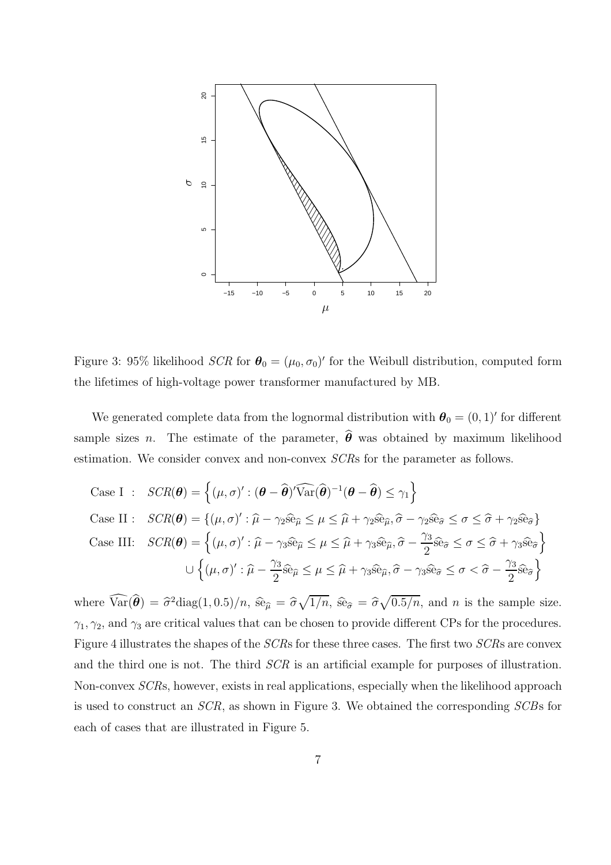

Figure 3: 95% likelihood  $SCR$  for  $\theta_0 = (\mu_0, \sigma_0)'$  for the Weibull distribution, computed form the lifetimes of high-voltage power transformer manufactured by MB.

We generated complete data from the lognormal distribution with  $\boldsymbol{\theta}_0 = (0, 1)'$  for different sample sizes *n*. The estimate of the parameter,  $\hat{\theta}$  was obtained by maximum likelihood estimation. We consider convex and non-convex SCRs for the parameter as follows.

Case I : 
$$
SCR(\theta) = \{(\mu, \sigma)' : (\theta - \hat{\theta})'\widehat{\text{Var}}(\hat{\theta})^{-1}(\theta - \hat{\theta}) \leq \gamma_1\}
$$
  
\nCase II :  $SCR(\theta) = \{(\mu, \sigma)' : \hat{\mu} - \gamma_2 \hat{\text{se}}_{\hat{\mu}} \leq \mu \leq \hat{\mu} + \gamma_2 \hat{\text{se}}_{\hat{\mu}}, \hat{\sigma} - \gamma_2 \hat{\text{se}}_{\hat{\sigma}} \leq \sigma \leq \hat{\sigma} + \gamma_2 \hat{\text{se}}_{\hat{\sigma}}\}$   
\nCase III:  $SCR(\theta) = \{(\mu, \sigma)' : \hat{\mu} - \gamma_3 \hat{\text{se}}_{\hat{\mu}} \leq \mu \leq \hat{\mu} + \gamma_3 \hat{\text{se}}_{\hat{\mu}}, \hat{\sigma} - \frac{\gamma_3}{2} \hat{\text{se}}_{\hat{\sigma}} \leq \sigma \leq \hat{\sigma} + \gamma_3 \hat{\text{se}}_{\hat{\sigma}}\}$   
\n
$$
\cup \{(\mu, \sigma)' : \hat{\mu} - \frac{\gamma_3}{2} \hat{\text{se}}_{\hat{\mu}} \leq \mu \leq \hat{\mu} + \gamma_3 \hat{\text{se}}_{\hat{\mu}}, \hat{\sigma} - \gamma_3 \hat{\text{se}}_{\hat{\sigma}} \leq \sigma < \hat{\sigma} - \frac{\gamma_3}{2} \hat{\text{se}}_{\hat{\sigma}}\}
$$

where  $\widehat{\text{Var}}(\widehat{\boldsymbol{\theta}}) = \widehat{\sigma}^2 \text{diag}(1, 0.5)/n$ ,  $\widehat{\text{se}}_{\widehat{\mu}} = \widehat{\sigma}\sqrt{1/n}$ ,  $\widehat{\text{se}}_{\widehat{\sigma}} = \widehat{\sigma}\sqrt{0.5/n}$ , and *n* is the sample size.  $\gamma_1, \gamma_2$ , and  $\gamma_3$  are critical values that can be chosen to provide different CPs for the procedures. Figure 4 illustrates the shapes of the SCRs for these three cases. The first two SCRs are convex and the third one is not. The third  $SCR$  is an artificial example for purposes of illustration. Non-convex SCRs, however, exists in real applications, especially when the likelihood approach is used to construct an SCR, as shown in Figure 3. We obtained the corresponding SCBs for each of cases that are illustrated in Figure 5.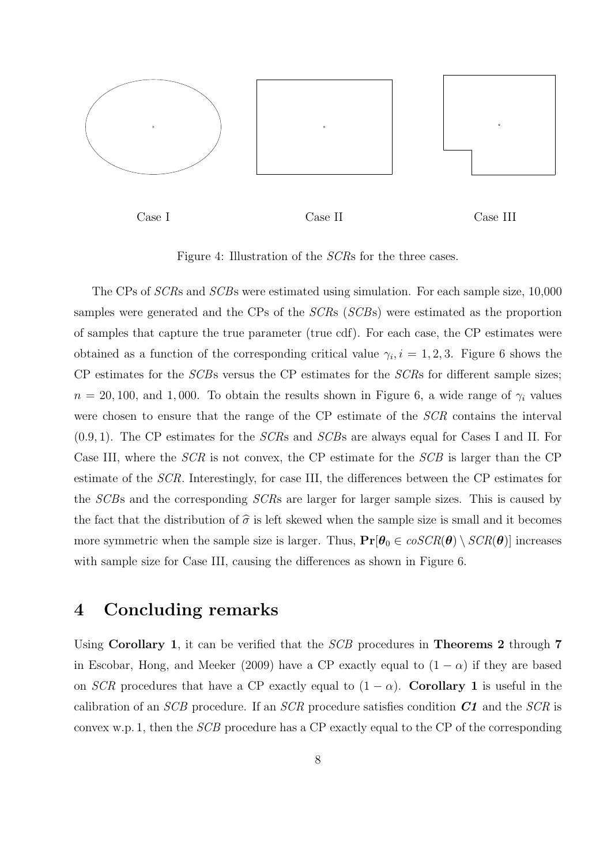

Case I Case II Case III

Figure 4: Illustration of the SCRs for the three cases.

The CPs of SCRs and SCBs were estimated using simulation. For each sample size, 10,000 samples were generated and the CPs of the SCRs (SCBs) were estimated as the proportion of samples that capture the true parameter (true cdf). For each case, the CP estimates were obtained as a function of the corresponding critical value  $\gamma_i$ ,  $i = 1, 2, 3$ . Figure 6 shows the CP estimates for the SCBs versus the CP estimates for the SCRs for different sample sizes;  $n = 20, 100,$  and 1,000. To obtain the results shown in Figure 6, a wide range of  $\gamma_i$  values were chosen to ensure that the range of the CP estimate of the SCR contains the interval  $(0.9, 1)$ . The CP estimates for the *SCR*s and *SCB*s are always equal for Cases I and II. For Case III, where the SCR is not convex, the CP estimate for the SCB is larger than the CP estimate of the SCR. Interestingly, for case III, the differences between the CP estimates for the SCBs and the corresponding SCRs are larger for larger sample sizes. This is caused by the fact that the distribution of  $\hat{\sigma}$  is left skewed when the sample size is small and it becomes more symmetric when the sample size is larger. Thus,  $Pr[\theta_0 \in \cos\theta(\theta) \setminus \cos\theta(\theta)]$  increases with sample size for Case III, causing the differences as shown in Figure 6.

# 4 Concluding remarks

Using Corollary 1, it can be verified that the *SCB* procedures in **Theorems 2** through 7 in Escobar, Hong, and Meeker (2009) have a CP exactly equal to  $(1 - \alpha)$  if they are based on SCR procedures that have a CP exactly equal to  $(1 - \alpha)$ . Corollary 1 is useful in the calibration of an SCB procedure. If an SCR procedure satisfies condition  $C1$  and the SCR is convex w.p. 1, then the SCB procedure has a CP exactly equal to the CP of the corresponding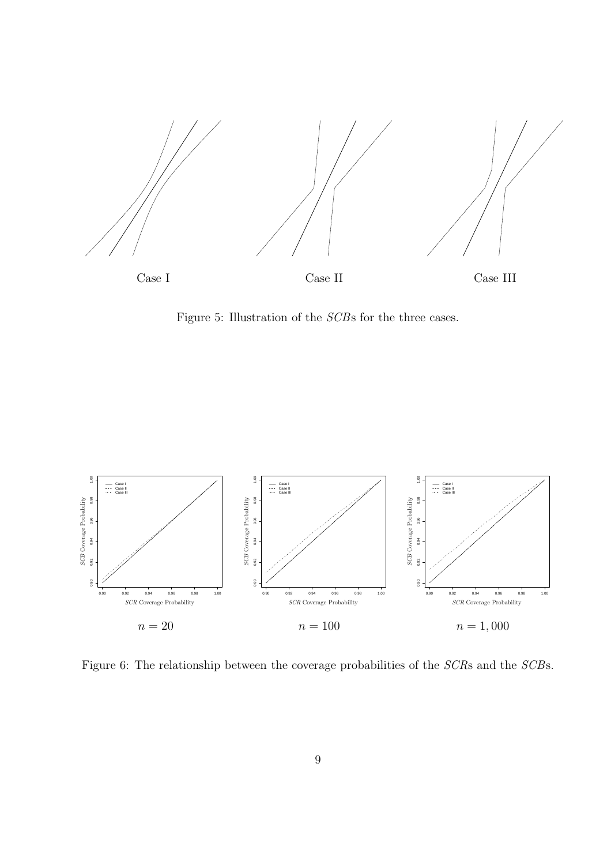

Figure 5: Illustration of the SCBs for the three cases.



Figure 6: The relationship between the coverage probabilities of the SCRs and the SCBs.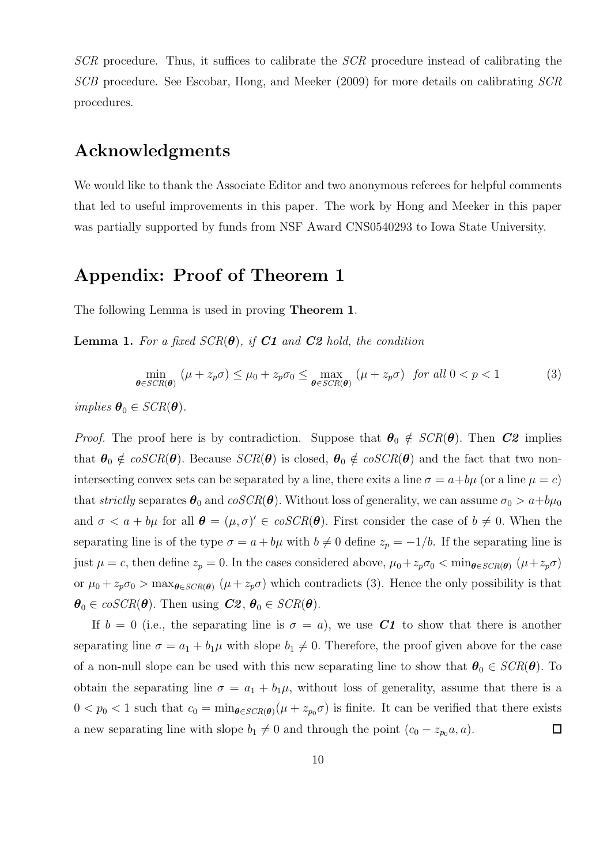SCR procedure. Thus, it suffices to calibrate the SCR procedure instead of calibrating the SCB procedure. See Escobar, Hong, and Meeker (2009) for more details on calibrating SCR procedures.

## Acknowledgments

We would like to thank the Associate Editor and two anonymous referees for helpful comments that led to useful improvements in this paper. The work by Hong and Meeker in this paper was partially supported by funds from NSF Award CNS0540293 to Iowa State University.

### Appendix: Proof of Theorem 1

The following Lemma is used in proving Theorem 1.

**Lemma 1.** For a fixed  $SCR(\theta)$ , if C1 and C2 hold, the condition

$$
\min_{\boldsymbol{\theta} \in \text{SCR}(\boldsymbol{\theta})} (\mu + z_p \sigma) \le \mu_0 + z_p \sigma_0 \le \max_{\boldsymbol{\theta} \in \text{SCR}(\boldsymbol{\theta})} (\mu + z_p \sigma) \quad \text{for all } 0 < p < 1 \tag{3}
$$

implies  $\boldsymbol{\theta}_0 \in \text{SCR}(\boldsymbol{\theta})$ .

*Proof.* The proof here is by contradiction. Suppose that  $\theta_0 \notin \text{SCR}(\theta)$ . Then C2 implies that  $\theta_0 \notin \mathit{coSCR}(\theta)$ . Because  $\mathit{SCR}(\theta)$  is closed,  $\theta_0 \notin \mathit{coSCR}(\theta)$  and the fact that two nonintersecting convex sets can be separated by a line, there exits a line  $\sigma = a + b\mu$  (or a line  $\mu = c$ ) that strictly separates  $\theta_0$  and  $cosCR(\theta)$ . Without loss of generality, we can assume  $\sigma_0 > a+b\mu_0$ and  $\sigma < a + b\mu$  for all  $\boldsymbol{\theta} = (\mu, \sigma)' \in \mathcal{C}(\mathcal{C}(\boldsymbol{\theta}))$ . First consider the case of  $b \neq 0$ . When the separating line is of the type  $\sigma = a + b\mu$  with  $b \neq 0$  define  $z_p = -1/b$ . If the separating line is just  $\mu = c$ , then define  $z_p = 0$ . In the cases considered above,  $\mu_0 + z_p \sigma_0 < \min_{\theta \in SCR(\theta)} (\mu + z_p \sigma)$ or  $\mu_0 + z_p \sigma_0 > \max_{\theta \in SCR(\theta)} (\mu + z_p \sigma)$  which contradicts (3). Hence the only possibility is that  $\boldsymbol{\theta}_0 \in \text{coSCR}(\boldsymbol{\theta})$ . Then using  $C2$ ,  $\boldsymbol{\theta}_0 \in \text{SCR}(\boldsymbol{\theta})$ .

If  $b = 0$  (i.e., the separating line is  $\sigma = a$ ), we use C1 to show that there is another separating line  $\sigma = a_1 + b_1 \mu$  with slope  $b_1 \neq 0$ . Therefore, the proof given above for the case of a non-null slope can be used with this new separating line to show that  $\theta_0 \in \text{SCR}(\theta)$ . To obtain the separating line  $\sigma = a_1 + b_1\mu$ , without loss of generality, assume that there is a  $0 < p_0 < 1$  such that  $c_0 = \min_{\theta \in SCR(\theta)} (\mu + z_{p_0} \sigma)$  is finite. It can be verified that there exists a new separating line with slope  $b_1 \neq 0$  and through the point  $(c_0 - z_{p_0}a, a)$ .  $\Box$